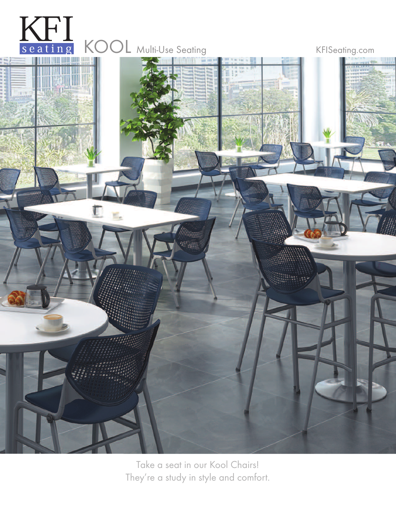

Take a seat in our Kool Chairs! They're a study in style and comfort.